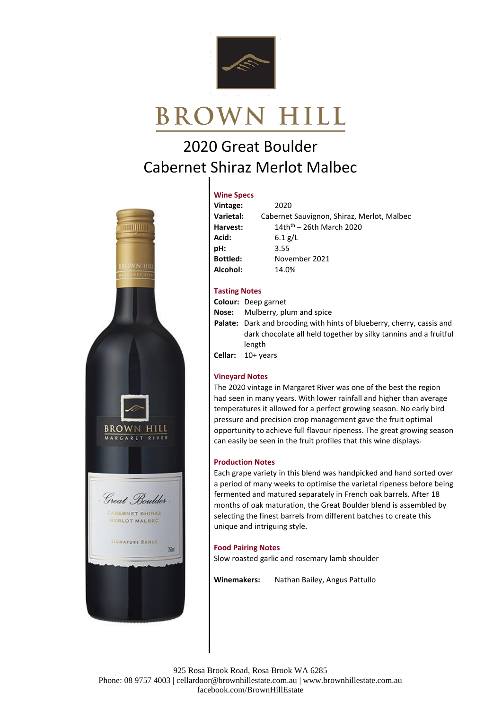

# **BROWN HILL**

# 2020 Great Boulder Cabernet Shiraz Merlot Malbec



#### **Wine Specs**

| Vintage:        | 2020                                       |
|-----------------|--------------------------------------------|
| Varietal:       | Cabernet Sauvignon, Shiraz, Merlot, Malbec |
| Harvest:        | $14thth - 26th March 2020$                 |
| Acid:           | 6.1 $g/L$                                  |
| pH:             | 3.55                                       |
| <b>Bottled:</b> | November 2021                              |
| Alcohol:        | 14.0%                                      |

## **Tasting Notes**

**Colour:** Deep garnet **Nose:** Mulberry, plum and spice **Palate:** Dark and brooding with hints of blueberry, cherry, cassis and dark chocolate all held together by silky tannins and a fruitful length **Cellar:** 10+ years

## **Vineyard Notes**

The 2020 vintage in Margaret River was one of the best the region had seen in many years. With lower rainfall and higher than average temperatures it allowed for a perfect growing season. No early bird pressure and precision crop management gave the fruit optimal opportunity to achieve full flavour ripeness. The great growing season can easily be seen in the fruit profiles that this wine displays.

## **Production Notes**

Each grape variety in this blend was handpicked and hand sorted over a period of many weeks to optimise the varietal ripeness before being fermented and matured separately in French oak barrels. After 18 months of oak maturation, the Great Boulder blend is assembled by selecting the finest barrels from different batches to create this unique and intriguing style.

#### **Food Pairing Notes**

Slow roasted garlic and rosemary lamb shoulder

**Winemakers:** Nathan Bailey, Angus Pattullo